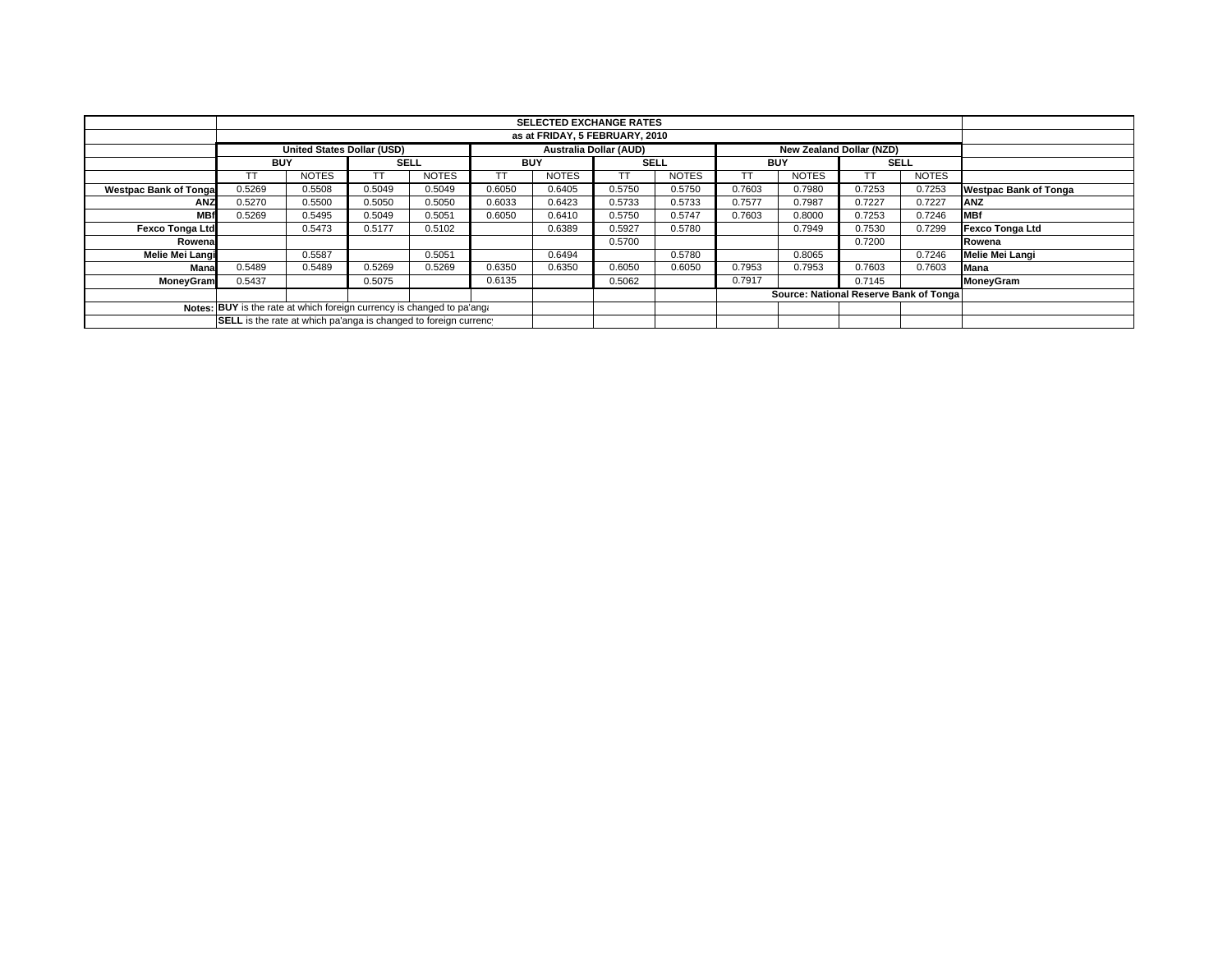|                                                                        |                                | <b>SELECTED EXCHANGE RATES</b>    |        |              |        |              |                        |              |        |                                        |        |              |                              |
|------------------------------------------------------------------------|--------------------------------|-----------------------------------|--------|--------------|--------|--------------|------------------------|--------------|--------|----------------------------------------|--------|--------------|------------------------------|
|                                                                        | as at FRIDAY, 5 FEBRUARY, 2010 |                                   |        |              |        |              |                        |              |        |                                        |        |              |                              |
|                                                                        |                                | <b>United States Dollar (USD)</b> |        |              |        |              | Australia Dollar (AUD) |              |        | New Zealand Dollar (NZD)               |        |              |                              |
|                                                                        | <b>BUY</b>                     |                                   |        | <b>SELL</b>  |        | <b>BUY</b>   |                        | <b>SELL</b>  |        | <b>BUY</b>                             |        | <b>SELL</b>  |                              |
|                                                                        |                                | <b>NOTES</b>                      |        | <b>NOTES</b> |        | <b>NOTES</b> |                        | <b>NOTES</b> |        | <b>NOTES</b>                           |        | <b>NOTES</b> |                              |
| <b>Westpac Bank of Tongal</b>                                          | 0.5269                         | 0.5508                            | 0.5049 | 0.5049       | 0.6050 | 0.6405       | 0.5750                 | 0.5750       | 0.7603 | 0.7980                                 | 0.7253 | 0.7253       | <b>Westpac Bank of Tonga</b> |
| <b>ANZ</b>                                                             | 0.5270                         | 0.5500                            | 0.5050 | 0.5050       | 0.6033 | 0.6423       | 0.5733                 | 0.5733       | 0.7577 | 0.7987                                 | 0.7227 | 0.7227       | <b>ANZ</b>                   |
| <b>MBf</b>                                                             | 0.5269                         | 0.5495                            | 0.5049 | 0.5051       | 0.6050 | 0.6410       | 0.5750                 | 0.5747       | 0.7603 | 0.8000                                 | 0.7253 | 0.7246       | <b>MBf</b>                   |
| <b>Fexco Tonga Ltd</b>                                                 |                                | 0.5473                            | 0.5177 | 0.5102       |        | 0.6389       | 0.5927                 | 0.5780       |        | 0.7949                                 | 0.7530 | 0.7299       | Fexco Tonga Ltd              |
| Rowenal                                                                |                                |                                   |        |              |        |              | 0.5700                 |              |        |                                        | 0.7200 |              | Rowena                       |
| Melie Mei Langi                                                        |                                | 0.5587                            |        | 0.5051       |        | 0.6494       |                        | 0.5780       |        | 0.8065                                 |        | 0.7246       | Melie Mei Langi              |
| Mana                                                                   | 0.5489                         | 0.5489                            | 0.5269 | 0.5269       | 0.6350 | 0.6350       | 0.6050                 | 0.6050       | 0.7953 | 0.7953                                 | 0.7603 | 0.7603       | <b>Mana</b>                  |
| <b>MoneyGram</b>                                                       | 0.5437                         |                                   | 0.5075 |              | 0.6135 |              | 0.5062                 |              | 0.7917 |                                        | 0.7145 |              | MoneyGram                    |
|                                                                        |                                |                                   |        |              |        |              |                        |              |        | Source: National Reserve Bank of Tonga |        |              |                              |
| Notes: BUY is the rate at which foreign currency is changed to pa'ang: |                                |                                   |        |              |        |              |                        |              |        |                                        |        |              |                              |
| SELL is the rate at which pa'anga is changed to foreign currency       |                                |                                   |        |              |        |              |                        |              |        |                                        |        |              |                              |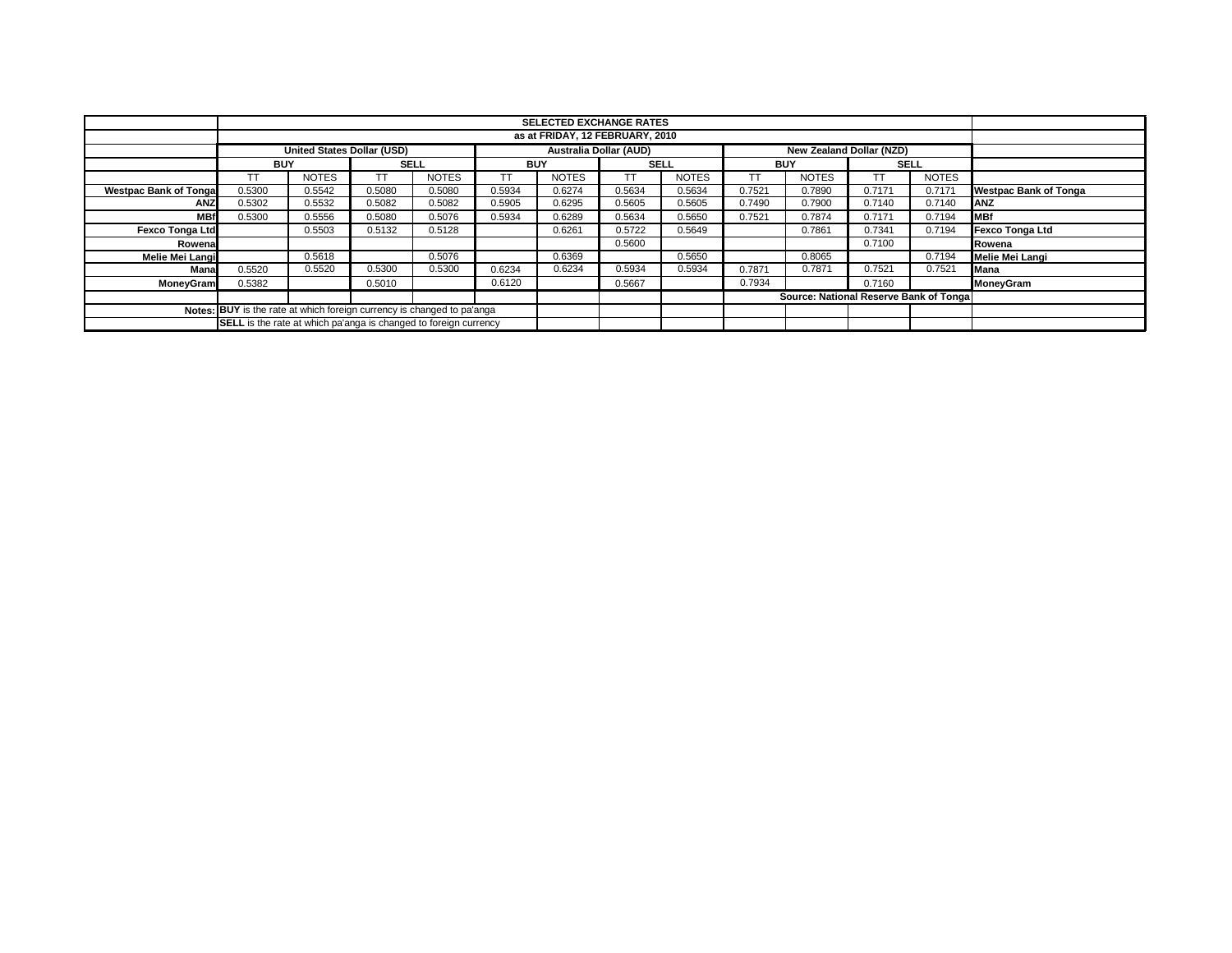|                                                                               |                                                                         |                                   |        |              |        | <b>SELECTED EXCHANGE RATES</b> |        |              |        |                                        |        |              |                              |
|-------------------------------------------------------------------------------|-------------------------------------------------------------------------|-----------------------------------|--------|--------------|--------|--------------------------------|--------|--------------|--------|----------------------------------------|--------|--------------|------------------------------|
|                                                                               | as at FRIDAY, 12 FEBRUARY, 2010                                         |                                   |        |              |        |                                |        |              |        |                                        |        |              |                              |
|                                                                               |                                                                         | <b>United States Dollar (USD)</b> |        |              |        | <b>Australia Dollar (AUD)</b>  |        |              |        | New Zealand Dollar (NZD)               |        |              |                              |
|                                                                               | <b>BUY</b>                                                              |                                   |        | <b>SELL</b>  |        | <b>BUY</b>                     |        | <b>SELL</b>  |        | <b>BUY</b>                             |        | <b>SELL</b>  |                              |
|                                                                               | TT                                                                      | <b>NOTES</b>                      |        | <b>NOTES</b> | TΤ     | <b>NOTES</b>                   | TΤ     | <b>NOTES</b> | ТT     | <b>NOTES</b>                           |        | <b>NOTES</b> |                              |
| <b>Westpac Bank of Tongal</b>                                                 | 0.5300                                                                  | 0.5542                            | 0.5080 | 0.5080       | 0.5934 | 0.6274                         | 0.5634 | 0.5634       | 0.7521 | 0.7890                                 | 0.7171 | 0.7171       | <b>Westpac Bank of Tonga</b> |
| <b>ANZ</b>                                                                    | 0.5302                                                                  | 0.5532                            | 0.5082 | 0.5082       | 0.5905 | 0.6295                         | 0.5605 | 0.5605       | 0.7490 | 0.7900                                 | 0.7140 | 0.7140       | <b>ANZ</b>                   |
| <b>MBf</b>                                                                    | 0.5300                                                                  | 0.5556                            | 0.5080 | 0.5076       | 0.5934 | 0.6289                         | 0.5634 | 0.5650       | 0.7521 | 0.7874                                 | 0.7171 | 0.7194       | <b>MBf</b>                   |
| <b>Fexco Tonga Ltd</b>                                                        |                                                                         | 0.5503                            | 0.5132 | 0.5128       |        | 0.6261                         | 0.5722 | 0.5649       |        | 0.7861                                 | 0.7341 | 0.7194       | <b>Fexco Tonga Ltd</b>       |
| Rowenal                                                                       |                                                                         |                                   |        |              |        |                                | 0.5600 |              |        |                                        | 0.7100 |              | Rowena                       |
| <b>Melie Mei Langi</b>                                                        |                                                                         | 0.5618                            |        | 0.5076       |        | 0.6369                         |        | 0.5650       |        | 0.8065                                 |        | 0.7194       | Melie Mei Langi              |
| Mana                                                                          | 0.5520                                                                  | 0.5520                            | 0.5300 | 0.5300       | 0.6234 | 0.6234                         | 0.5934 | 0.5934       | 0.7871 | 0.7871                                 | 0.7521 | 0.7521       | Mana                         |
| <b>MoneyGram</b>                                                              | 0.5382                                                                  |                                   | 0.5010 |              | 0.6120 |                                | 0.5667 |              | 0.7934 |                                        | 0.7160 |              | MoneyGram                    |
|                                                                               |                                                                         |                                   |        |              |        |                                |        |              |        | Source: National Reserve Bank of Tonga |        |              |                              |
| <b>Notes: BUY</b> is the rate at which foreign currency is changed to pa'anga |                                                                         |                                   |        |              |        |                                |        |              |        |                                        |        |              |                              |
|                                                                               | <b>SELL</b> is the rate at which pa'anga is changed to foreign currency |                                   |        |              |        |                                |        |              |        |                                        |        |              |                              |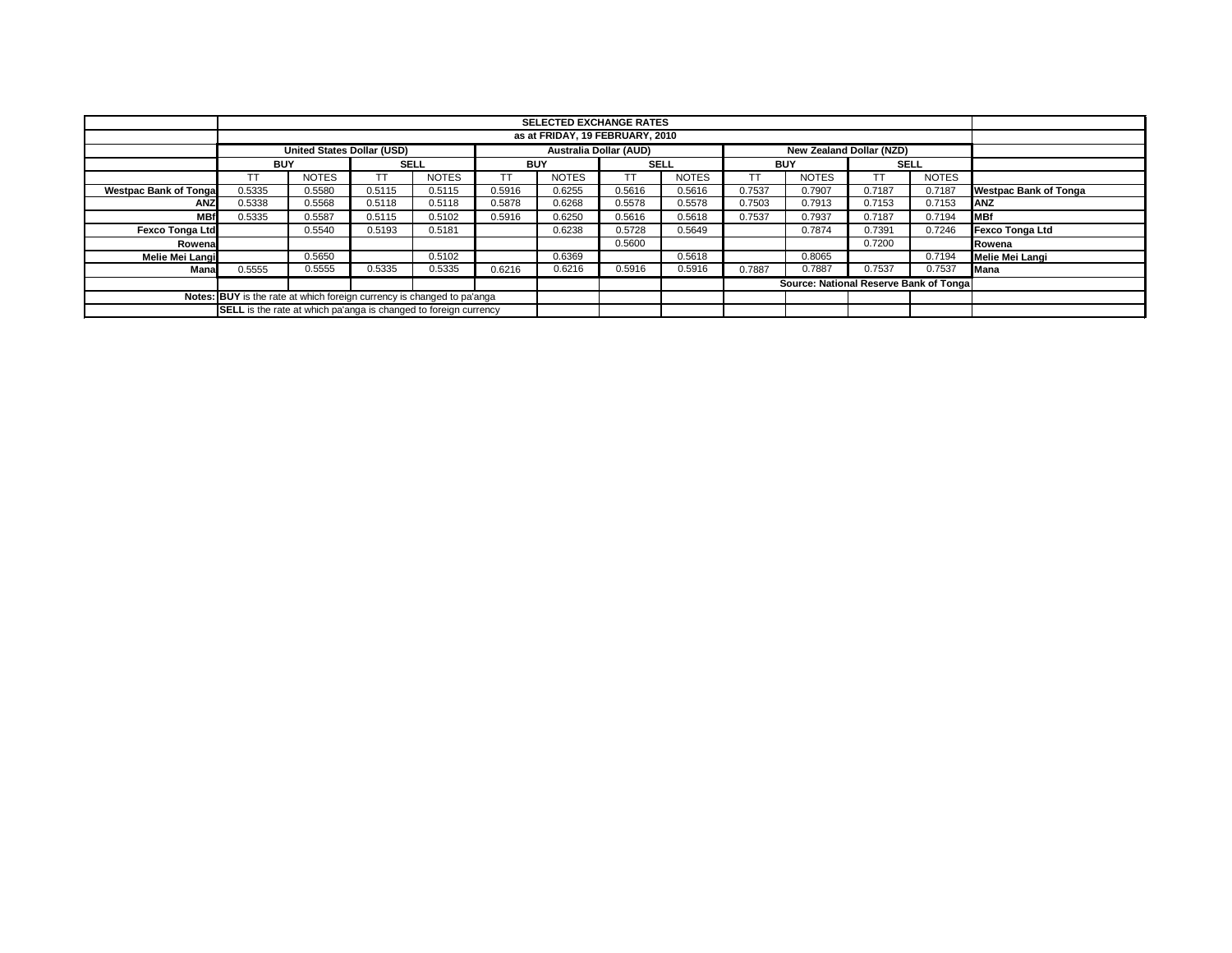|                              |                                                                        | <b>SELECTED EXCHANGE RATES</b>                                   |             |              |            |              |             |              |            |                                        |             |              |                              |
|------------------------------|------------------------------------------------------------------------|------------------------------------------------------------------|-------------|--------------|------------|--------------|-------------|--------------|------------|----------------------------------------|-------------|--------------|------------------------------|
|                              | as at FRIDAY, 19 FEBRUARY, 2010                                        |                                                                  |             |              |            |              |             |              |            |                                        |             |              |                              |
|                              | <b>United States Dollar (USD)</b>                                      |                                                                  |             |              |            |              |             |              |            |                                        |             |              |                              |
|                              | <b>BUY</b>                                                             |                                                                  | <b>SELL</b> |              | <b>BUY</b> |              | <b>SELL</b> |              | <b>BUY</b> |                                        | <b>SELL</b> |              |                              |
|                              | ТT                                                                     | <b>NOTES</b>                                                     | T           | <b>NOTES</b> | TΤ         | <b>NOTES</b> |             | <b>NOTES</b> |            | <b>NOTES</b>                           | <b>TT</b>   | <b>NOTES</b> |                              |
| <b>Westpac Bank of Tonga</b> | 0.5335                                                                 | 0.5580                                                           | 0.5115      | 0.5115       | 0.5916     | 0.6255       | 0.5616      | 0.5616       | 0.7537     | 0.7907                                 | 0.7187      | 0.7187       | <b>Westpac Bank of Tonga</b> |
| <b>ANZ</b>                   | 0.5338                                                                 | 0.5568                                                           | 0.5118      | 0.5118       | 0.5878     | 0.6268       | 0.5578      | 0.5578       | 0.7503     | 0.7913                                 | 0.7153      | 0.7153       | <b>ANZ</b>                   |
| <b>MBf</b>                   | 0.5335                                                                 | 0.5587                                                           | 0.5115      | 0.5102       | 0.5916     | 0.6250       | 0.5616      | 0.5618       | 0.7537     | 0.7937                                 | 0.7187      | 0.7194       | <b>MBf</b>                   |
| <b>Fexco Tonga Ltd</b>       |                                                                        | 0.5540                                                           | 0.5193      | 0.5181       |            | 0.6238       | 0.5728      | 0.5649       |            | 0.7874                                 | 0.7391      | 0.7246       | <b>Fexco Tonga Ltd</b>       |
| Rowena                       |                                                                        |                                                                  |             |              |            |              | 0.5600      |              | 0.7200     |                                        |             |              | Rowena                       |
| Melie Mei Langi              |                                                                        | 0.5650                                                           |             | 0.5102       |            | 0.6369       |             | 0.5618       |            | 0.8065                                 |             | 0.7194       | Melie Mei Langi              |
| Mana                         | 0.5555                                                                 | 0.5555                                                           | 0.5335      | 0.5335       | 0.6216     | 0.6216       | 0.5916      | 0.5916       | 0.7887     | 0.7887                                 | 0.7537      | 0.7537       | Mana                         |
|                              |                                                                        |                                                                  |             |              |            |              |             |              |            | Source: National Reserve Bank of Tonga |             |              |                              |
|                              | Notes: BUY is the rate at which foreign currency is changed to pa'anga |                                                                  |             |              |            |              |             |              |            |                                        |             |              |                              |
|                              |                                                                        | SELL is the rate at which pa'anga is changed to foreign currency |             |              |            |              |             |              |            |                                        |             |              |                              |